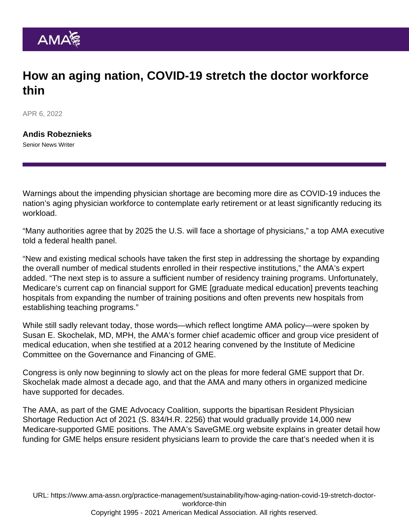## How an aging nation, COVID-19 stretch the doctor workforce thin

APR 6, 2022

[Andis Robeznieks](https://www.ama-assn.org/news-leadership-viewpoints/authors-news-leadership-viewpoints/andis-robeznieks) Senior News Writer

Warnings about the impending [physician shortage](https://www.ama-assn.org/topics/physician-shortage) are becoming more dire as COVID-19 induces the nation's aging physician workforce to contemplate early retirement or at least significantly reducing its workload.

"Many authorities agree that by 2025 the U.S. will face a shortage of physicians," a top AMA executive told a federal health panel.

"New and existing medical schools have taken the first step in addressing the shortage by expanding the overall number of medical students enrolled in their respective institutions," the AMA's expert added. "The next step is to assure a sufficient number of residency training programs. Unfortunately, Medicare's current cap on financial support for GME [graduate medical education] prevents teaching hospitals from expanding the number of training positions and often prevents new hospitals from establishing teaching programs."

While still sadly relevant today, those words—which reflect longtime [AMA policy—](https://policysearch.ama-assn.org/policyfinder/detail/shortage?uri=/AMADoc/HOD.xml-0-1344.xml)were spoken by [Susan E. Skochelak, MD, MPH](https://www.ama-assn.org/education/accelerating-change-medical-education/redesigning-training-capture-big-picture), the AMA's former chief academic officer and group vice president of medical education, when she [testified at a 2012 hearing](https://searchlf.ama-assn.org/letter/documentDownload?uri=/unstructured/binary/letter/LETTERS/graduate-medical-education-testimony-19dec2012.pdf) convened by the Institute of Medicine Committee on the Governance and Financing of GME.

Congress is only now beginning to slowly act on the pleas for more federal GME support that Dr. Skochelak made almost a decade ago, and that the AMA and many others in organized medicine have supported for decades.

The AMA, as part of the GME Advocacy Coalition, supports the bipartisan Resident Physician Shortage Reduction Act of 2021 (S. 834/H.R. 2256) that would gradually provide 14,000 new Medicare-supported GME positions. The AMA's [SaveGME.org](https://savegme.org/) website explains in greater detail how funding for GME helps ensure resident physicians learn to provide the care that's needed when it is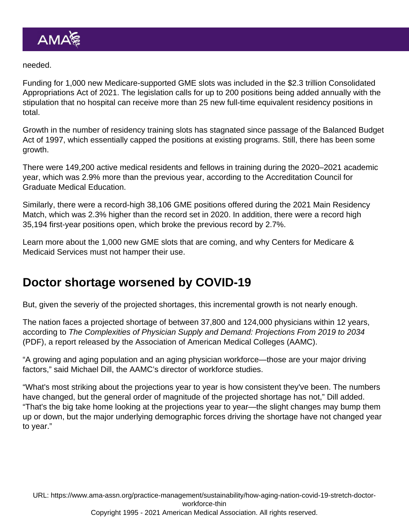#### needed.

Funding for 1,000 new Medicare-supported GME slots was included in the \$2.3 trillion Consolidated Appropriations Act of 2021. The legislation calls for up to 200 positions being added annually with the stipulation that no hospital can receive more than 25 new full-time equivalent residency positions in total.

Growth in the number of residency training slots has stagnated since passage of the Balanced Budget Act of 1997, which essentially capped the positions at existing programs. Still, there has been some growth.

There were 149,200 active medical residents and fellows in training during the 2020–2021 academic year, which was 2.9% more than the previous year, according to the Accreditation Council for Graduate Medical Education.

Similarly, there were a record-high 38,106 GME positions offered during the 2021 Main Residency Match, which was 2.3% higher than the record set in 2020. In addition, there were a record high 35,194 first-year positions open, which broke the previous record by 2.7%.

Learn more about the [1,000 new GME slots that are coming](https://www.ama-assn.org/education/gme-funding/1000-new-gme-slots-are-coming-cms-must-not-hamper-their-use), and why Centers for Medicare & Medicaid Services must not hamper their use.

## Doctor shortage worsened by COVID-19

But, given the severiy of the projected shortages, this incremental growth is not nearly enough.

The nation faces a projected shortage of between 37,800 and 124,000 physicians within 12 years, according to [The Complexities of Physician Supply and Demand: Projections From 2019 to 2034](https://www.aamc.org/media/54681/download) (PDF), a report released by the Association of American Medical Colleges (AAMC).

"A growing and aging population and an aging physician workforce—those are your major driving factors," said Michael Dill, the AAMC's director of workforce studies.

"What's most striking about the projections year to year is how consistent they've been. The numbers have changed, but the general order of magnitude of the projected shortage has not," Dill added. "That's the big take home looking at the projections year to year—the slight changes may bump them up or down, but the major underlying demographic forces driving the shortage have not changed year to year."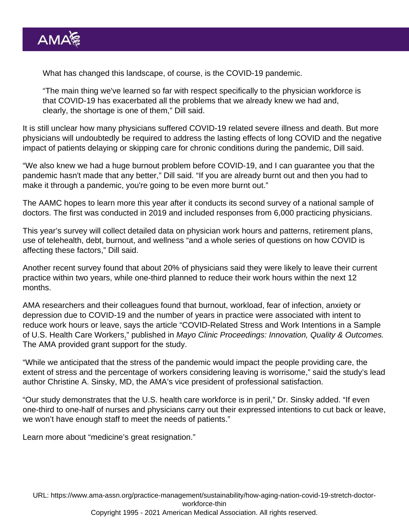What has changed this landscape, of course, is the COVID-19 pandemic.

"The main thing we've learned so far with respect specifically to the physician workforce is that COVID-19 has exacerbated all the problems that we already knew we had and, clearly, the shortage is one of them," Dill said.

It is still unclear how many physicians suffered COVID-19 related severe illness and death. But more physicians will undoubtedly be required to address the lasting effects of long COVID and the negative impact of patients delaying or skipping care for chronic conditions during the pandemic, Dill said.

"We also knew we had a huge [burnout problem](https://www.ama-assn.org/topics/physician-burnout) before COVID-19, and I can guarantee you that the pandemic hasn't made that any better," Dill said. "If you are already burnt out and then you had to make it through a pandemic, you're going to be even more burnt out."

The AAMC hopes to learn more this year after it conducts its second survey of a national sample of doctors. The first was conducted in 2019 and included responses from 6,000 practicing physicians.

This year's survey will collect detailed data on physician work hours and patterns, retirement plans, use of telehealth, debt, burnout, and wellness "and a whole series of questions on how COVID is affecting these factors," Dill said.

Another recent survey found that about 20% of physicians said they were likely to leave their current practice within two years, while one-third planned to reduce their work hours within the next 12 months.

AMA researchers and their colleagues found that burnout, workload, fear of infection, anxiety or depression due to COVID-19 and the number of years in practice were associated with intent to reduce work hours or leave, says the article "[COVID-Related Stress and Work Intentions in a Sample](https://www.mcpiqojournal.org/article/S2542-4548(21)00126-0/fulltext) [of U.S. Health Care Workers](https://www.mcpiqojournal.org/article/S2542-4548(21)00126-0/fulltext)," published in Mayo Clinic Proceedings: Innovation, Quality & Outcomes. The AMA provided grant support for the study.

"While we anticipated that the stress of the pandemic would impact the people providing care, the extent of stress and the percentage of workers considering leaving is worrisome," said the study's lead author [Christine A. Sinsky, MD](https://www.ama-assn.org/practice-management/physician-health/quest-never-waste-step), the AMA's vice president of professional satisfaction.

"Our study demonstrates that the U.S. health care workforce is in peril," Dr. Sinsky added. "If even one-third to one-half of nurses and physicians carry out their expressed intentions to cut back or leave, we won't have enough staff to meet the needs of patients."

Learn more about ["medicine's great resignation](https://www.ama-assn.org/practice-management/physician-health/medicine-s-great-resignation-1-5-doctors-plan-exit-2-years)."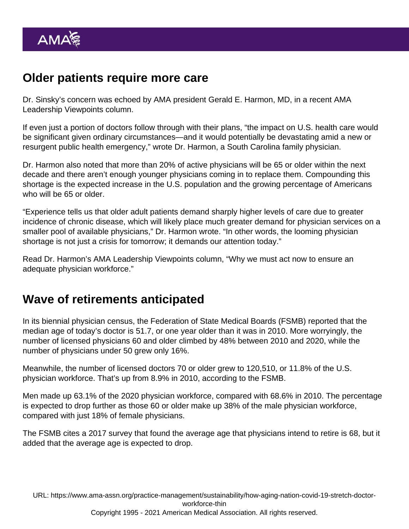# Older patients require more care

Dr. Sinsky's concern was echoed by AMA president [Gerald E. Harmon, MD](https://www.ama-assn.org/about/board-trustees/gerald-e-harmon-md), in a recent AMA Leadership Viewpoints column.

If even just a portion of doctors follow through with their plans, "the impact on U.S. health care would be significant given ordinary circumstances—and it would potentially be devastating amid a new or resurgent public health emergency," wrote Dr. Harmon, a South Carolina family physician.

Dr. Harmon also noted that more than 20% of active physicians will be 65 or older within the next decade and there aren't enough younger physicians coming in to replace them. Compounding this shortage is the expected increase in the U.S. population and the growing percentage of Americans who will be 65 or older.

"Experience tells us that older adult patients demand sharply higher levels of care due to greater incidence of chronic disease, which will likely place much greater demand for physician services on a smaller pool of available physicians," Dr. Harmon wrote. "In other words, the looming physician shortage is not just a crisis for tomorrow; it demands our attention today."

Read Dr. Harmon's AMA Leadership Viewpoints column, "[Why we must act now to ensure an](https://www.ama-assn.org/about/leadership/why-we-must-act-now-ensure-adequate-physician-workforce) [adequate physician workforce.](https://www.ama-assn.org/about/leadership/why-we-must-act-now-ensure-adequate-physician-workforce)"

## Wave of retirements anticipated

In its [biennial physician census,](https://www.fsmb.org/physician-census/) the Federation of State Medical Boards (FSMB) reported that the median age of today's doctor is 51.7, or one year older than it was in 2010. More worryingly, the number of licensed physicians 60 and older climbed by 48% between 2010 and 2020, while the number of physicians under 50 grew only 16%.

Meanwhile, the number of licensed doctors 70 or older grew to 120,510, or 11.8% of the U.S. physician workforce. That's up from 8.9% in 2010, according to the FSMB.

Men made up 63.1% of the 2020 physician workforce, compared with 68.6% in 2010. The percentage is expected to drop further as those 60 or older make up 38% of the male physician workforce, compared with just 18% of female physicians.

The FSMB cites a 2017 survey that found the average age that physicians intend to retire is 68, but it added that the average age is expected to drop.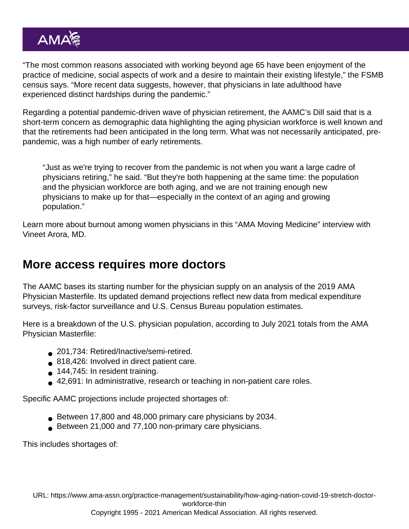"The most common reasons associated with working beyond age 65 have been enjoyment of the practice of medicine, social aspects of work and a desire to maintain their existing lifestyle," the FSMB census says. "More recent data suggests, however, that physicians in late adulthood have experienced distinct hardships during the pandemic."

Regarding a potential pandemic-driven wave of physician retirement, the AAMC's Dill said that is a short-term concern as demographic data highlighting the aging physician workforce is well known and that the retirements had been anticipated in the long term. What was not necessarily anticipated, prepandemic, was a high number of early retirements.

"Just as we're trying to recover from the pandemic is not when you want a large cadre of physicians retiring," he said. "But they're both happening at the same time: the population and the physician workforce are both aging, and we are not training enough new physicians to make up for that—especially in the context of an aging and growing population."

Learn more about burnout among women physicians in this ["AMA Moving Medicine" interview with](https://www.ama-assn.org/practice-management/physician-health/burden-burnout-women-medicine-vineet-arora-md) [Vineet Arora, MD](https://www.ama-assn.org/practice-management/physician-health/burden-burnout-women-medicine-vineet-arora-md).

## More access requires more doctors

The AAMC bases its starting number for the physician supply on an analysis of the 2019 [AMA](https://www.ama-assn.org/about/masterfile/ama-physician-masterfile) [Physician Masterfile.](https://www.ama-assn.org/about/masterfile/ama-physician-masterfile) Its updated demand projections reflect new data from medical expenditure surveys, risk-factor surveillance and U.S. Census Bureau population estimates.

Here is a breakdown of the U.S. physician population, according to July 2021 totals from the AMA Physician Masterfile:

- 201,734: Retired/Inactive/semi-retired.
- 818,426: Involved in direct patient care.
- 144,745: In resident training.
- 42,691: In administrative, research or teaching in non-patient care roles.

Specific AAMC projections include projected shortages of:

- Between 17,800 and 48,000 primary care physicians by 2034.
- Between 21,000 and 77,100 non-primary care physicians.

This includes shortages of:

URL: [https://www.ama-assn.org/practice-management/sustainability/how-aging-nation-covid-19-stretch-doctor](https://www.ama-assn.org/practice-management/sustainability/how-aging-nation-covid-19-stretch-doctor-workforce-thin)[workforce-thin](https://www.ama-assn.org/practice-management/sustainability/how-aging-nation-covid-19-stretch-doctor-workforce-thin)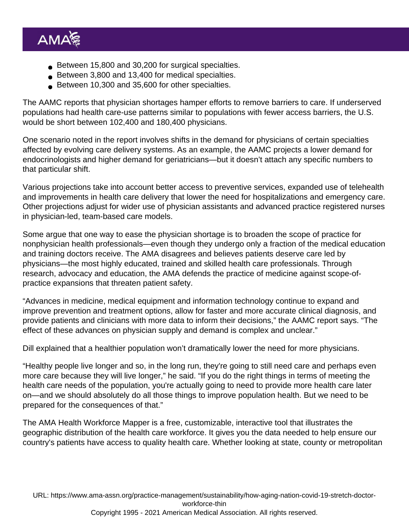- Between 15,800 and 30,200 for surgical specialties.
- Between 3,800 and 13,400 for medical specialties.
- Between 10,300 and 35,600 for other specialties.

The AAMC reports that physician shortages hamper efforts to remove barriers to care. If underserved populations had health care-use patterns similar to populations with fewer access barriers, the U.S. would be short between 102,400 and 180,400 physicians.

One scenario noted in the report involves shifts in the demand for physicians of certain specialties affected by evolving care delivery systems. As an example, the AAMC projects a lower demand for endocrinologists and higher demand for geriatricians—but it doesn't attach any specific numbers to that particular shift.

Various projections take into account better access to preventive services, expanded use of telehealth and improvements in health care delivery that lower the need for hospitalizations and emergency care. Other projections adjust for wider use of physician assistants and advanced practice registered nurses in physician-led, team-based care models.

Some argue that one way to ease the physician shortage is to broaden the scope of practice for nonphysician health professionals—even though they undergo only a fraction of the medical education and training doctors receive. The AMA disagrees and believes patients deserve care led by physicians—the most highly educated, trained and skilled health care professionals. Through research, advocacy and education, the [AMA defends the practice of medicine against scope-of](https://www.ama-assn.org/practice-management/scope-practice/ama-successfully-fights-scope-practice-expansions-threaten)[practice expansions](https://www.ama-assn.org/practice-management/scope-practice/ama-successfully-fights-scope-practice-expansions-threaten) that threaten patient safety.

"Advances in medicine, medical equipment and information technology continue to expand and improve prevention and treatment options, allow for faster and more accurate clinical diagnosis, and provide patients and clinicians with more data to inform their decisions," the AAMC report says. "The effect of these advances on physician supply and demand is complex and unclear."

Dill explained that a healthier population won't dramatically lower the need for more physicians.

"Healthy people live longer and so, in the long run, they're going to still need care and perhaps even more care because they will live longer," he said. "If you do the right things in terms of meeting the health care needs of the population, you're actually going to need to provide more health care later on—and we should absolutely do all those things to improve population health. But we need to be prepared for the consequences of that."

The [AMA Health Workforce Mapper](https://www.ama-assn.org/about/research/health-workforce-mapper) is a free, customizable, interactive tool that illustrates the geographic distribution of the health care workforce. It gives you the data needed to help ensure our country's patients have access to quality health care. Whether looking at state, county or metropolitan